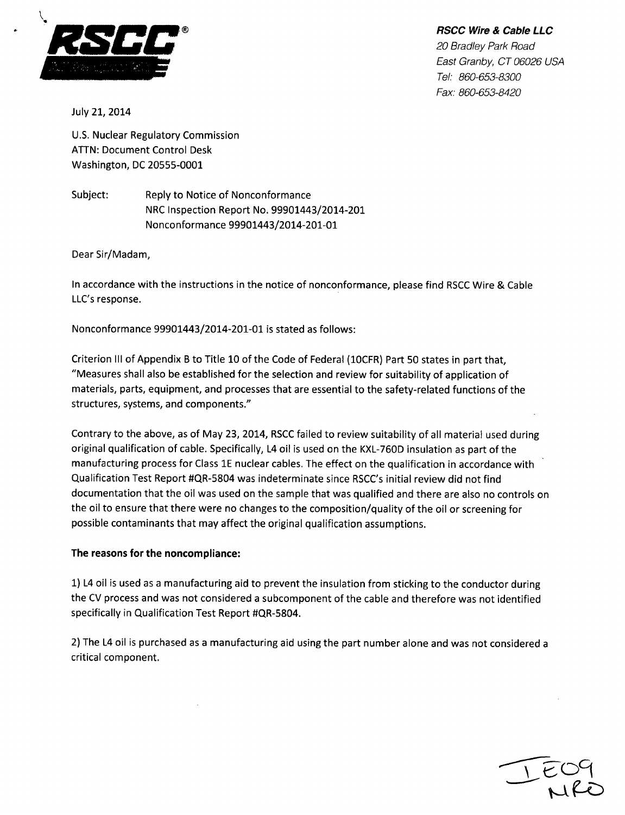

 $BSCC$  *Wire & Cable LLC 20 Bradley Park Road East Granby, CT 06026 USA Tel: 860-653-8300 Fax: 860-653-8420*

July 21, 2014

U.S. Nuclear Regulatory Commission **ATTN:** Document Control Desk Washington, DC 20555-0001

Subject: Reply to Notice of Nonconformance NRC Inspection Report No. 99901443/2014-201 Nonconformance 99901443/2014-201-01

Dear Sir/Madam,

In accordance with the instructions in the notice of nonconformance, please find RSCC Wire & Cable LLC's response.

Nonconformance 99901443/2014-201-01 is stated as follows:

Criterion **III** of Appendix B to Title 10 of the Code of Federal (lOCFR) Part 50 states in part that, "Measures shall also be established for the selection and review for suitability of application of materials, parts, equipment, and processes that are essential to the safety-related functions of the structures, systems, and components."

Contrary to the above, as of May 23, 2014, RSCC failed to review suitability of all material used during original qualification of cable. Specifically, L4 oil is used on the KXL-760D insulation as part of the manufacturing process for Class **1E** nuclear cables. The effect on the qualification in accordance with Qualification Test Report #QR-5804 was indeterminate since RSCC's initial review did not find documentation that the oil was used on the sample that was qualified and there are also no controls on the oil to ensure that there were no changes to the composition/quality of the oil or screening for possible contaminants that may affect the original qualification assumptions.

## The reasons for the noncompliance:

**1)** L4 oil is used as a manufacturing aid to prevent the insulation from sticking to the conductor during the CV process and was not considered a subcomponent of the cable and therefore was not identified specifically in Qualification Test Report #QR-5804.

2) The L4 oil is purchased as a manufacturing aid using the part number alone and was not considered a critical component.